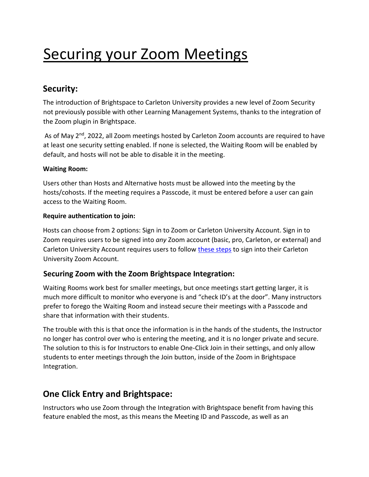# Securing your Zoom Meetings

# **Security:**

The introduction of Brightspace to Carleton University provides a new level of Zoom Security not previously possible with other Learning Management Systems, thanks to the integration of the Zoom plugin in Brightspace.

As of May 2<sup>nd</sup>, 2022, all Zoom meetings hosted by Carleton Zoom accounts are required to have at least one security setting enabled. If none is selected, the Waiting Room will be enabled by default, and hosts will not be able to disable it in the meeting.

#### **Waiting Room:**

Users other than Hosts and Alternative hosts must be allowed into the meeting by the hosts/cohosts. If the meeting requires a Passcode, it must be entered before a user can gain access to the Waiting Room.

#### **Require authentication to join:**

Hosts can choose from 2 options: Sign in to Zoom or Carleton University Account. Sign in to Zoom requires users to be signed into *any* Zoom account (basic, pro, Carleton, or external) and Carleton University Account requires users to follow [these steps](https://carleton.ca/zoom/carletons-enterprise-zoom-license-and-sso-sign-on/) to sign into their Carleton University Zoom Account.

#### **Securing Zoom with the Zoom Brightspace Integration:**

Waiting Rooms work best for smaller meetings, but once meetings start getting larger, it is much more difficult to monitor who everyone is and "check ID's at the door". Many instructors prefer to forego the Waiting Room and instead secure their meetings with a Passcode and share that information with their students.

The trouble with this is that once the information is in the hands of the students, the Instructor no longer has control over who is entering the meeting, and it is no longer private and secure. The solution to this is for Instructors to enable One-Click Join in their settings, and only allow students to enter meetings through the Join button, inside of the Zoom in Brightspace Integration.

## **One Click Entry and Brightspace:**

Instructors who use Zoom through the Integration with Brightspace benefit from having this feature enabled the most, as this means the Meeting ID and Passcode, as well as an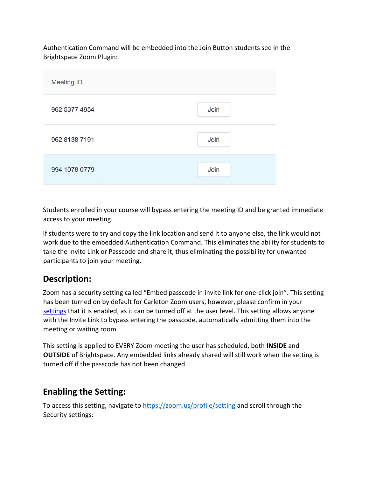Authentication Command will be embedded into the Join Button students see in the Brightspace Zoom Plugin:

| <b>Meeting ID</b> |      |
|-------------------|------|
| 962 5377 4954     | Join |
| 962 8138 7191     | Join |
| 994 1078 0779     | Join |

Students enrolled in your course will bypass entering the meeting ID and be granted immediate access to your meeting.

If students were to try and copy the link location and send it to anyone else, the link would not work due to the embedded Authentication Command. This eliminates the ability for students to take the Invite Link or Passcode and share it, thus eliminating the possibility for unwanted participants to join your meeting.

# **Description:**

Zoom has a security setting called "Embed passcode in invite link for one-click join". This setting has been turned on by default for Carleton Zoom users, however, please confirm in your [settings](https://carleton-ca.zoom.us/profile/setting) that it is enabled, as it can be turned off at the user level. This setting allows anyone with the Invite Link to bypass entering the passcode, automatically admitting them into the meeting or waiting room.

This setting is applied to EVERY Zoom meeting the user has scheduled, both **INSIDE** and **OUTSIDE** of Brightspace. Any embedded links already shared will still work when the setting is turned off if the passcode has not been changed.

## **Enabling the Setting:**

To access this setting, navigate to https://zoom.us/profile/setting and scroll through the Security settings: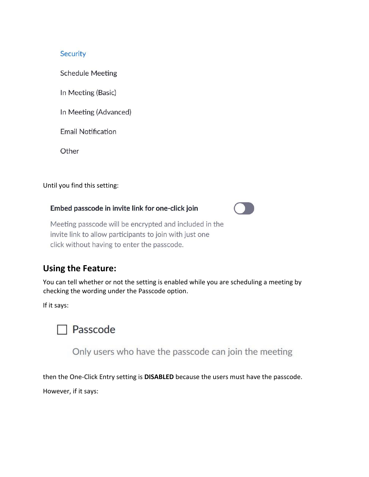#### Security

**Schedule Meeting** 

In Meeting (Basic)

In Meeting (Advanced)

**Email Notification** 

Other

Until you find this setting:

#### Embed passcode in invite link for one-click join



Meeting passcode will be encrypted and included in the invite link to allow participants to join with just one click without having to enter the passcode.

## **Using the Feature:**

You can tell whether or not the setting is enabled while you are scheduling a meeting by checking the wording under the Passcode option.

If it says:



Only users who have the passcode can join the meeting

then the One-Click Entry setting is **DISABLED** because the users must have the passcode.

However, if it says: